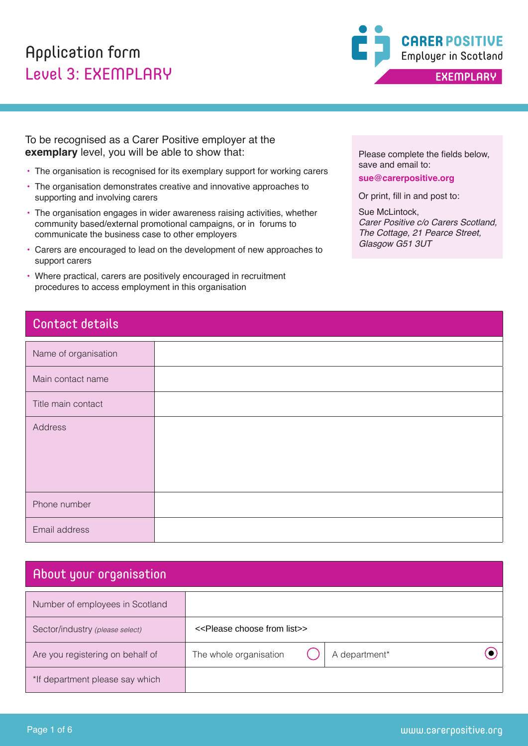## Application form Level 3: EXEMPLARY



To be recognised as a Carer Positive employer at the **exemplary** level, you will be able to show that:

- The organisation is recognised for its exemplary support for working carers
- The organisation demonstrates creative and innovative approaches to supporting and involving carers
- The organisation engages in wider awareness raising activities, whether community based/external promotional campaigns, or in forums to communicate the business case to other employers
- Carers are encouraged to lead on the development of new approaches to support carers
- Where practical, carers are positively encouraged in recruitment procedures to access employment in this organisation

### Contact details

| Name of organisation |  |
|----------------------|--|
| Main contact name    |  |
| Title main contact   |  |
| Address              |  |
| Phone number         |  |
| Email address        |  |

## About your organisation

| Number of employees in Scotland  |                                                   |               |                       |
|----------------------------------|---------------------------------------------------|---------------|-----------------------|
| Sector/industry (please select)  | < <please choose="" from="" list="">&gt;</please> |               |                       |
| Are you registering on behalf of | The whole organisation                            | A department* |                       |
| *If department please say which  |                                                   |               |                       |
|                                  |                                                   |               |                       |
| Page 1 of 6                      |                                                   |               | www.carerpositive.org |

Please complete the fields below, save and email to:

**sue@carerpositive.org**

Or print, fill in and post to:

Sue McLintock, *Carer Positive c/o Carers Scotland, The Cottage, 21 Pearce Street, Glasgow G51 3UT*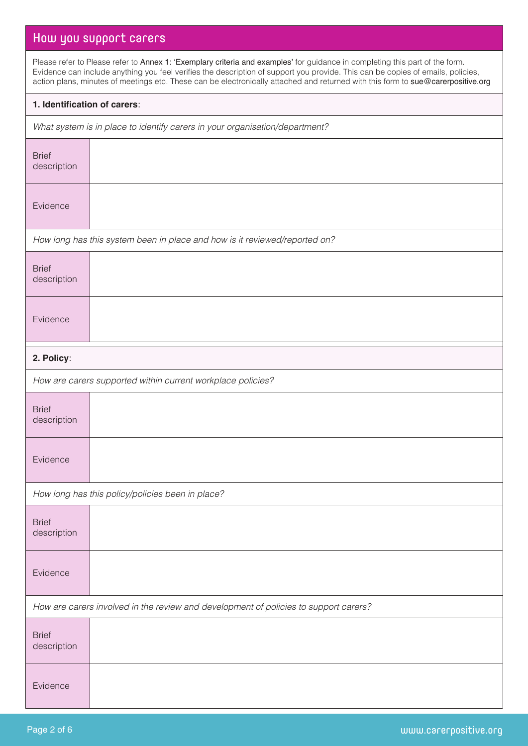## How you support carers

Please refer to Please refer to Annex 1: 'Exemplary criteria and examples' for guidance in completing this part of the form. Evidence can include anything you feel verifies the description of support you provide. This can be copies of emails, policies, action plans, minutes of meetings etc. These can be electronically attached and returned with this form to sue@carerpositive.org

#### **1. Identification of carers**:

*What system is in place to identify carers in your organisation/department?*

| <b>Brief</b><br>description                                                          |                                                                            |
|--------------------------------------------------------------------------------------|----------------------------------------------------------------------------|
| Evidence                                                                             |                                                                            |
|                                                                                      | How long has this system been in place and how is it reviewed/reported on? |
| <b>Brief</b><br>description                                                          |                                                                            |
| Evidence                                                                             |                                                                            |
| 2. Policy:                                                                           |                                                                            |
|                                                                                      | How are carers supported within current workplace policies?                |
| <b>Brief</b><br>description                                                          |                                                                            |
| Evidence                                                                             |                                                                            |
|                                                                                      | How long has this policy/policies been in place?                           |
| <b>Brief</b><br>description                                                          |                                                                            |
| Evidence                                                                             |                                                                            |
| How are carers involved in the review and development of policies to support carers? |                                                                            |
| <b>Brief</b><br>description                                                          |                                                                            |
| Evidence                                                                             |                                                                            |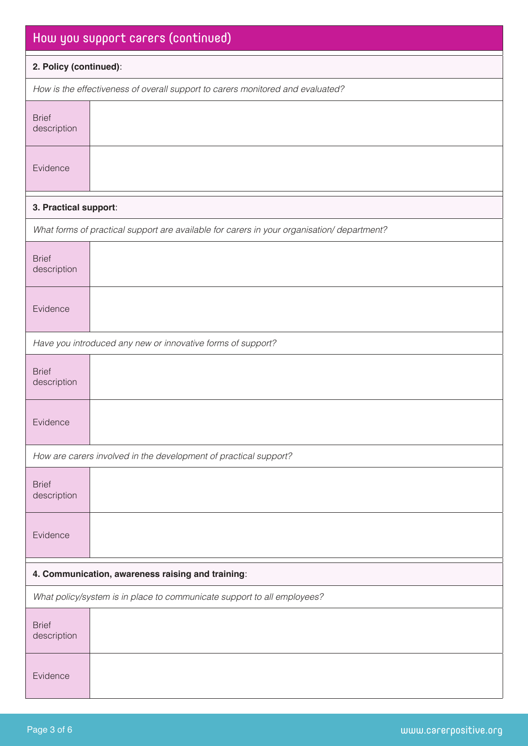| How you support carers (continued)                                      |                                                                                           |  |
|-------------------------------------------------------------------------|-------------------------------------------------------------------------------------------|--|
| 2. Policy (continued):                                                  |                                                                                           |  |
|                                                                         | How is the effectiveness of overall support to carers monitored and evaluated?            |  |
| <b>Brief</b><br>description                                             |                                                                                           |  |
| Evidence                                                                |                                                                                           |  |
| 3. Practical support:                                                   |                                                                                           |  |
|                                                                         | What forms of practical support are available for carers in your organisation/department? |  |
| <b>Brief</b><br>description                                             |                                                                                           |  |
| Evidence                                                                |                                                                                           |  |
|                                                                         | Have you introduced any new or innovative forms of support?                               |  |
| <b>Brief</b><br>description                                             |                                                                                           |  |
| Evidence                                                                |                                                                                           |  |
|                                                                         | How are carers involved in the development of practical support?                          |  |
| <b>Brief</b><br>description                                             |                                                                                           |  |
| Evidence                                                                |                                                                                           |  |
| 4. Communication, awareness raising and training:                       |                                                                                           |  |
| What policy/system is in place to communicate support to all employees? |                                                                                           |  |
| <b>Brief</b><br>description                                             |                                                                                           |  |
| Evidence                                                                |                                                                                           |  |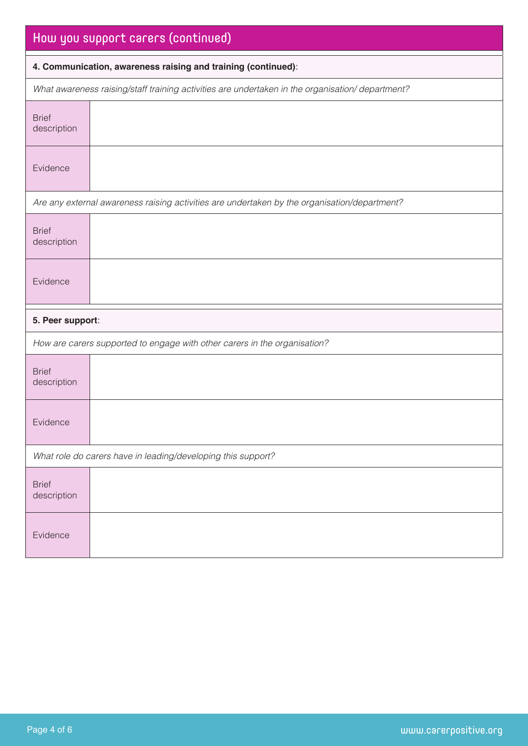| How you support carers (continued)                                                              |                                                                                              |  |
|-------------------------------------------------------------------------------------------------|----------------------------------------------------------------------------------------------|--|
| 4. Communication, awareness raising and training (continued):                                   |                                                                                              |  |
| What awareness raising/staff training activities are undertaken in the organisation/department? |                                                                                              |  |
| <b>Brief</b><br>description                                                                     |                                                                                              |  |
| Evidence                                                                                        |                                                                                              |  |
|                                                                                                 | Are any external awareness raising activities are undertaken by the organisation/department? |  |
| <b>Brief</b><br>description                                                                     |                                                                                              |  |
| Evidence                                                                                        |                                                                                              |  |
| 5. Peer support:                                                                                |                                                                                              |  |
|                                                                                                 | How are carers supported to engage with other carers in the organisation?                    |  |
| <b>Brief</b><br>description                                                                     |                                                                                              |  |
| Evidence                                                                                        |                                                                                              |  |
| What role do carers have in leading/developing this support?                                    |                                                                                              |  |
| <b>Brief</b><br>description                                                                     |                                                                                              |  |
| Evidence                                                                                        |                                                                                              |  |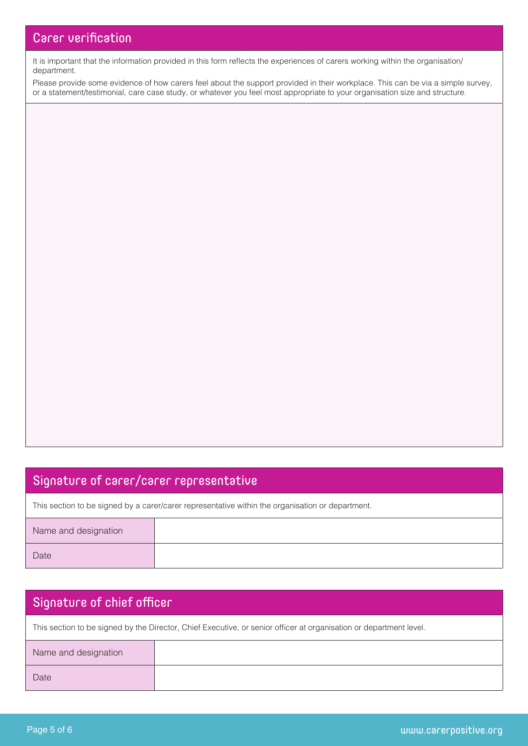It is important that the information provided in this form reflects the experiences of carers working within the organisation/ department.

Please provide some evidence of how carers feel about the support provided in their workplace. This can be via a simple survey, or a statement/testimonial, care case study, or whatever you feel most appropriate to your organisation size and structure.

### Signature of carer/carer representative

This section to be signed by a carer/carer representative within the organisation or department.

| Name and designation |  |
|----------------------|--|
| Date                 |  |

# Signature of chief officer This section to be signed by the Director, Chief Executive, or senior officer at organisation or department level. Name and designation Date